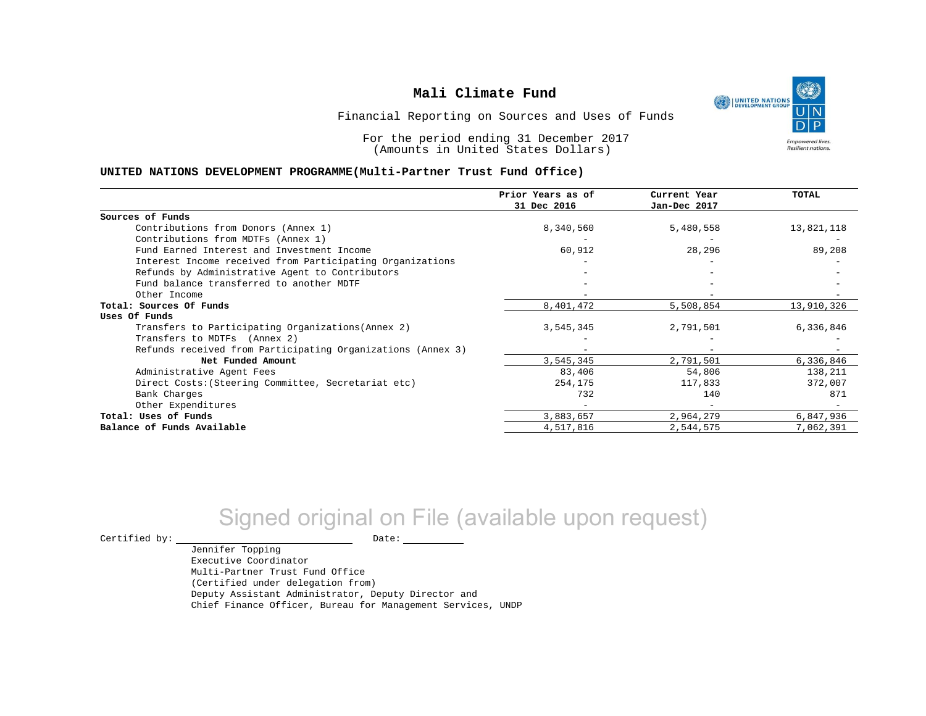

Financial Reporting on Sources and Uses of Funds

For the period ending 31 December 2017 (Amounts in United States Dollars)

#### **UNITED NATIONS DEVELOPMENT PROGRAMME(Multi-Partner Trust Fund Office)**

|                                                             | Prior Years as of<br>31 Dec 2016 | Current Year<br>Jan-Dec 2017 | TOTAL      |
|-------------------------------------------------------------|----------------------------------|------------------------------|------------|
| Sources of Funds                                            |                                  |                              |            |
| Contributions from Donors (Annex 1)                         | 8,340,560                        | 5,480,558                    | 13,821,118 |
| Contributions from MDTFs (Annex 1)                          |                                  |                              |            |
| Fund Earned Interest and Investment Income                  | 60,912                           | 28,296                       | 89,208     |
| Interest Income received from Participating Organizations   |                                  |                              |            |
| Refunds by Administrative Agent to Contributors             |                                  |                              |            |
| Fund balance transferred to another MDTF                    |                                  |                              |            |
| Other Income                                                |                                  |                              |            |
| Total: Sources Of Funds                                     | 8,401,472                        | 5,508,854                    | 13,910,326 |
| Uses Of Funds                                               |                                  |                              |            |
| Transfers to Participating Organizations (Annex 2)          | 3,545,345                        | 2,791,501                    | 6,336,846  |
| Transfers to MDTFs (Annex 2)                                |                                  |                              |            |
| Refunds received from Participating Organizations (Annex 3) |                                  |                              |            |
| Net Funded Amount                                           | 3,545,345                        | 2,791,501                    | 6,336,846  |
| Administrative Agent Fees                                   | 83,406                           | 54,806                       | 138,211    |
| Direct Costs: (Steering Committee, Secretariat etc)         | 254,175                          | 117,833                      | 372,007    |
| Bank Charges                                                | 732                              | 140                          | 871        |
| Other Expenditures                                          |                                  | $\overline{\phantom{a}}$     |            |
| Total: Uses of Funds                                        | 3,883,657                        | 2,964,279                    | 6,847,936  |
| Balance of Funds Available                                  | 4,517,816                        | 2,544,575                    | 7,062,391  |

# Signed original on File (available upon request)

 $\begin{picture}(180,180)(0,0) \put(0,0){\vector(1,0){180}} \put(15,0){\vector(1,0){180}} \put(15,0){\vector(1,0){180}} \put(15,0){\vector(1,0){180}} \put(15,0){\vector(1,0){180}} \put(15,0){\vector(1,0){180}} \put(15,0){\vector(1,0){180}} \put(15,0){\vector(1,0){180}} \put(15,0){\vector(1,0){180}} \put(15,0){\vector(1,0){180}} \put(15,0){\vector(1,0$ 

Jennifer Topping Executive Coordinator Multi-Partner Trust Fund Office (Certified under delegation from) Deputy Assistant Administrator, Deputy Director and Chief Finance Officer, Bureau for Management Services, UNDP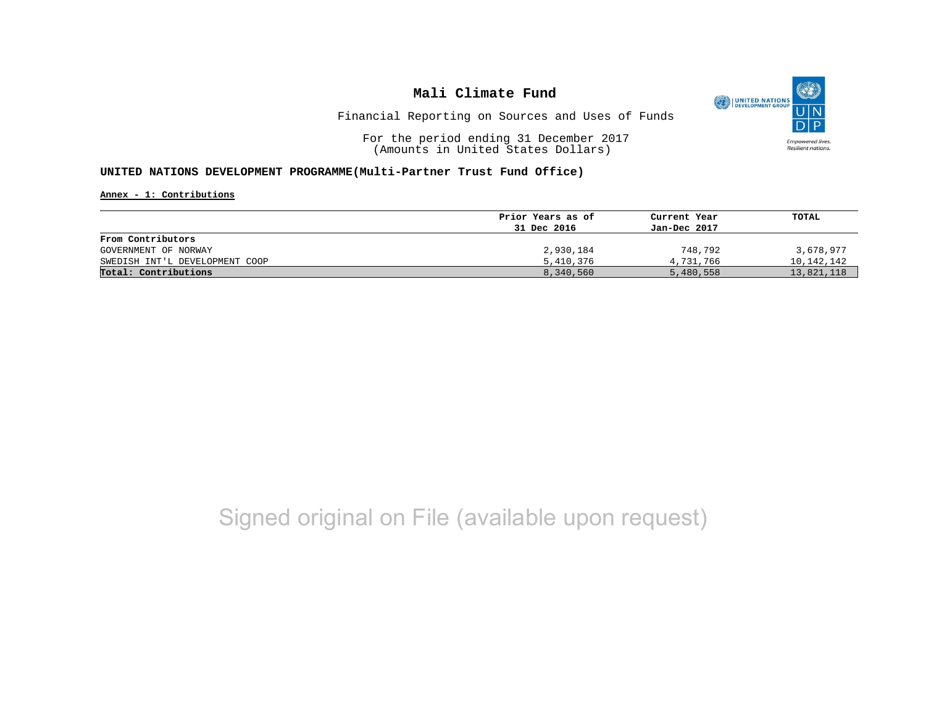

Financial Reporting on Sources and Uses of Funds

For the period ending 31 December 2017 (Amounts in United States Dollars)

#### **UNITED NATIONS DEVELOPMENT PROGRAMME(Multi-Partner Trust Fund Office)**

**Annex - 1: Contributions**

|                                | Prior Years as of<br>31 Dec 2016 | Current Year<br>Jan-Dec 2017 | TOTAL      |
|--------------------------------|----------------------------------|------------------------------|------------|
|                                |                                  |                              |            |
| From Contributors              |                                  |                              |            |
| GOVERNMENT OF NORWAY           | 2,930,184                        | 748,792                      | 3,678,977  |
| SWEDISH INT'L DEVELOPMENT COOP | 5,410,376                        | 4,731,766                    | 10,142,142 |
| Total: Contributions           | 8,340,560                        | 5,480,558                    | 13,821,118 |

## Signed original on File (available upon request)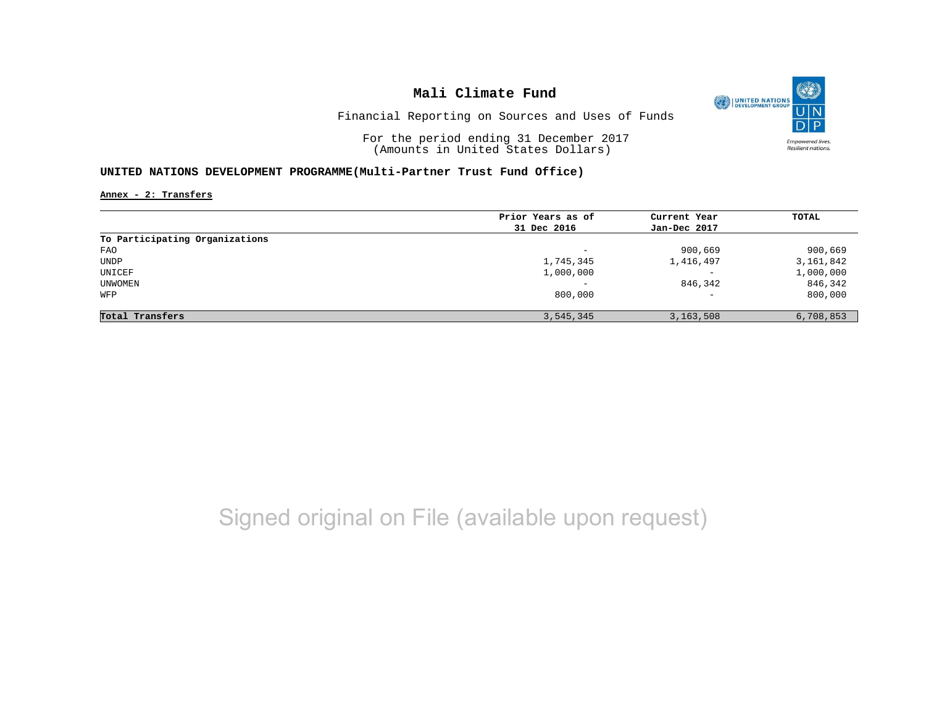

Financial Reporting on Sources and Uses of Funds

For the period ending 31 December 2017 (Amounts in United States Dollars)

#### **UNITED NATIONS DEVELOPMENT PROGRAMME(Multi-Partner Trust Fund Office)**

**Annex - 2: Transfers**

|           |                                               | <b>TOTAL</b>                                |
|-----------|-----------------------------------------------|---------------------------------------------|
|           |                                               |                                             |
|           |                                               |                                             |
|           |                                               |                                             |
| -         | 900,669                                       | 900,669                                     |
| 1,745,345 | 1,416,497                                     | 3,161,842                                   |
| 1,000,000 | $\overline{\phantom{0}}$                      | 1,000,000                                   |
|           | 846,342                                       | 846,342                                     |
| 800,000   | $\overline{\phantom{a}}$                      | 800,000                                     |
|           |                                               | 6,708,853                                   |
|           | Prior Years as of<br>31 Dec 2016<br>3,545,345 | Current Year<br>Jan-Dec 2017<br>3, 163, 508 |

## Signed original on File (available upon request)